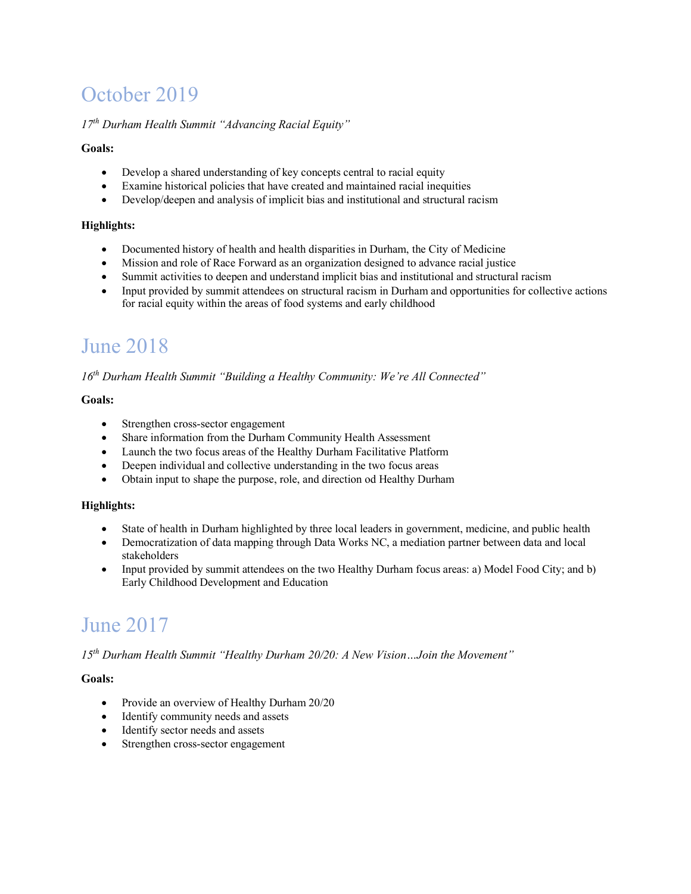## October 2019

#### *17th Durham Health Summit "Advancing Racial Equity"*

#### **Goals:**

- Develop a shared understanding of key concepts central to racial equity
- Examine historical policies that have created and maintained racial inequities
- Develop/deepen and analysis of implicit bias and institutional and structural racism

#### **Highlights:**

- Documented history of health and health disparities in Durham, the City of Medicine
- Mission and role of Race Forward as an organization designed to advance racial justice
- Summit activities to deepen and understand implicit bias and institutional and structural racism
- Input provided by summit attendees on structural racism in Durham and opportunities for collective actions for racial equity within the areas of food systems and early childhood

### June 2018

*16th Durham Health Summit "Building a Healthy Community: We're All Connected"*

#### **Goals:**

- Strengthen cross-sector engagement
- Share information from the Durham Community Health Assessment
- Launch the two focus areas of the Healthy Durham Facilitative Platform
- Deepen individual and collective understanding in the two focus areas
- Obtain input to shape the purpose, role, and direction od Healthy Durham

#### **Highlights:**

- State of health in Durham highlighted by three local leaders in government, medicine, and public health
- Democratization of data mapping through Data Works NC, a mediation partner between data and local stakeholders
- Input provided by summit attendees on the two Healthy Durham focus areas: a) Model Food City; and b) Early Childhood Development and Education

## June 2017

*15th Durham Health Summit "Healthy Durham 20/20: A New Vision…Join the Movement"*

#### **Goals:**

- Provide an overview of Healthy Durham 20/20
- Identify community needs and assets
- Identify sector needs and assets
- Strengthen cross-sector engagement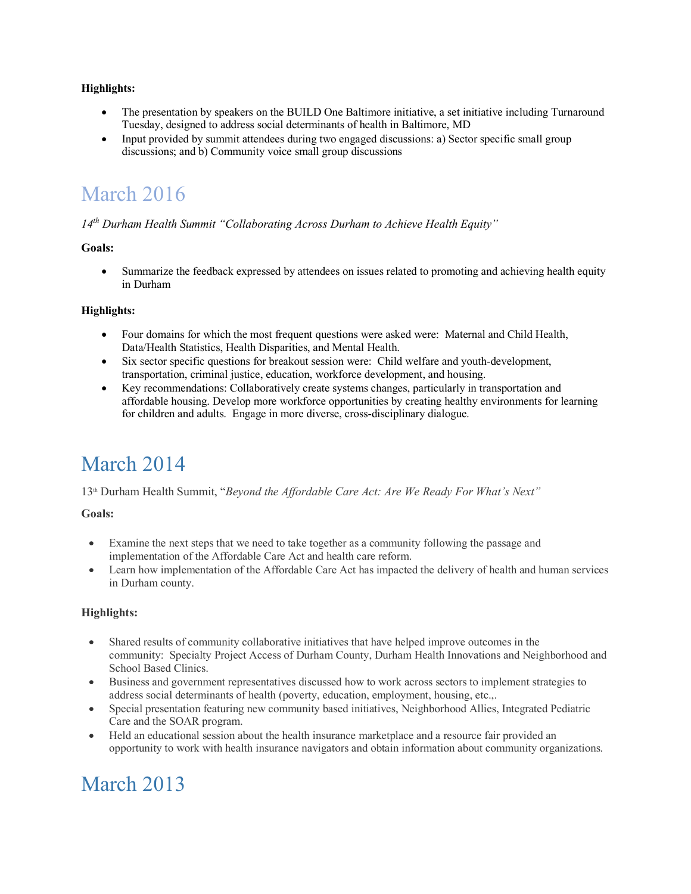#### **Highlights:**

- The presentation by speakers on the BUILD One Baltimore initiative, a set initiative including Turnaround Tuesday, designed to address social determinants of health in Baltimore, MD
- Input provided by summit attendees during two engaged discussions: a) Sector specific small group discussions; and b) Community voice small group discussions

### March 2016

#### *14th Durham Health Summit "Collaborating Across Durham to Achieve Health Equity"*

#### **Goals:**

• Summarize the feedback expressed by attendees on issues related to promoting and achieving health equity in Durham

#### **Highlights:**

- Four domains for which the most frequent questions were asked were: Maternal and Child Health, Data/Health Statistics, Health Disparities, and Mental Health.
- Six sector specific questions for breakout session were: Child welfare and youth-development, transportation, criminal justice, education, workforce development, and housing.
- Key recommendations: Collaboratively create systems changes, particularly in transportation and affordable housing. Develop more workforce opportunities by creating healthy environments for learning for children and adults. Engage in more diverse, cross-disciplinary dialogue.

### March 2014

13th Durham Health Summit, "*Beyond the Affordable Care Act: Are We Ready For What's Next"*

#### **Goals:**

- Examine the next steps that we need to take together as a community following the passage and implementation of the Affordable Care Act and health care reform.
- Learn how implementation of the Affordable Care Act has impacted the delivery of health and human services in Durham county.

#### **Highlights:**

- Shared results of community collaborative initiatives that have helped improve outcomes in the community: Specialty Project Access of Durham County, Durham Health Innovations and Neighborhood and School Based Clinics.
- Business and government representatives discussed how to work across sectors to implement strategies to address social determinants of health (poverty, education, employment, housing, etc.,.
- Special presentation featuring new community based initiatives, Neighborhood Allies, Integrated Pediatric Care and the SOAR program.
- Held an educational session about the health insurance marketplace and a resource fair provided an opportunity to work with health insurance navigators and obtain information about community organizations.

### March 2013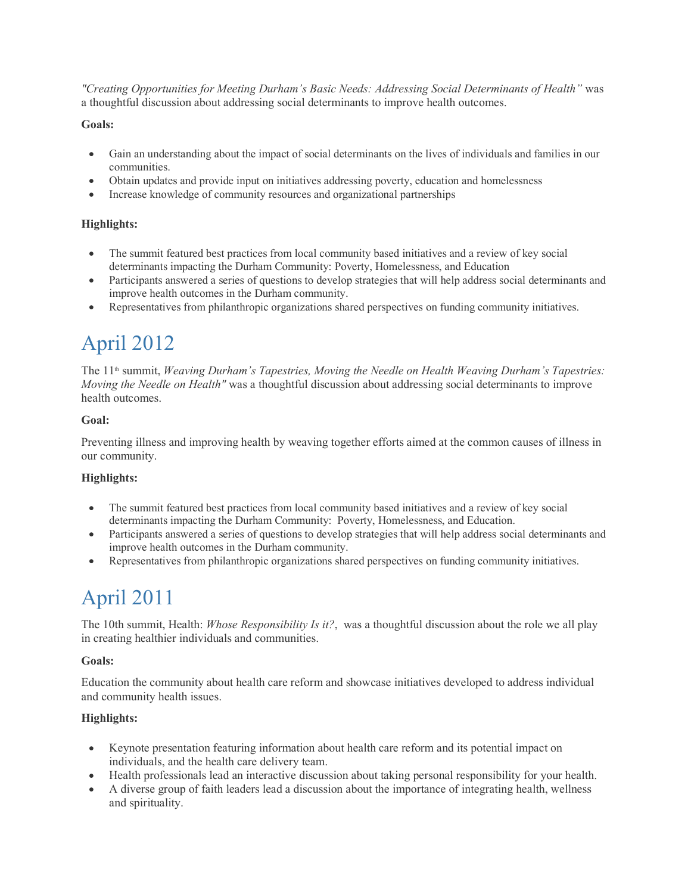*"Creating Opportunities for Meeting Durham's Basic Needs: Addressing Social Determinants of Health"* was a thoughtful discussion about addressing social determinants to improve health outcomes.

#### **Goals:**

- Gain an understanding about the impact of social determinants on the lives of individuals and families in our communities.
- Obtain updates and provide input on initiatives addressing poverty, education and homelessness
- Increase knowledge of community resources and organizational partnerships

#### **Highlights:**

- The summit featured best practices from local community based initiatives and a review of key social determinants impacting the Durham Community: Poverty, Homelessness, and Education
- Participants answered a series of questions to develop strategies that will help address social determinants and improve health outcomes in the Durham community.
- Representatives from philanthropic organizations shared perspectives on funding community initiatives.

## April 2012

The 11<sup>th</sup> summit, *Weaving Durham's Tapestries, Moving the Needle on Health Weaving Durham's Tapestries: Moving the Needle on Health"* was a thoughtful discussion about addressing social determinants to improve health outcomes.

#### **Goal:**

Preventing illness and improving health by weaving together efforts aimed at the common causes of illness in our community.

#### **Highlights:**

- The summit featured best practices from local community based initiatives and a review of key social determinants impacting the Durham Community: Poverty, Homelessness, and Education.
- Participants answered a series of questions to develop strategies that will help address social determinants and improve health outcomes in the Durham community.
- Representatives from philanthropic organizations shared perspectives on funding community initiatives.

## April 2011

The 10th summit, Health: *Whose Responsibility Is it?*, was a thoughtful discussion about the role we all play in creating healthier individuals and communities.

#### **Goals:**

Education the community about health care reform and showcase initiatives developed to address individual and community health issues.

#### **Highlights:**

- Keynote presentation featuring information about health care reform and its potential impact on individuals, and the health care delivery team.
- Health professionals lead an interactive discussion about taking personal responsibility for your health.
- A diverse group of faith leaders lead a discussion about the importance of integrating health, wellness and spirituality.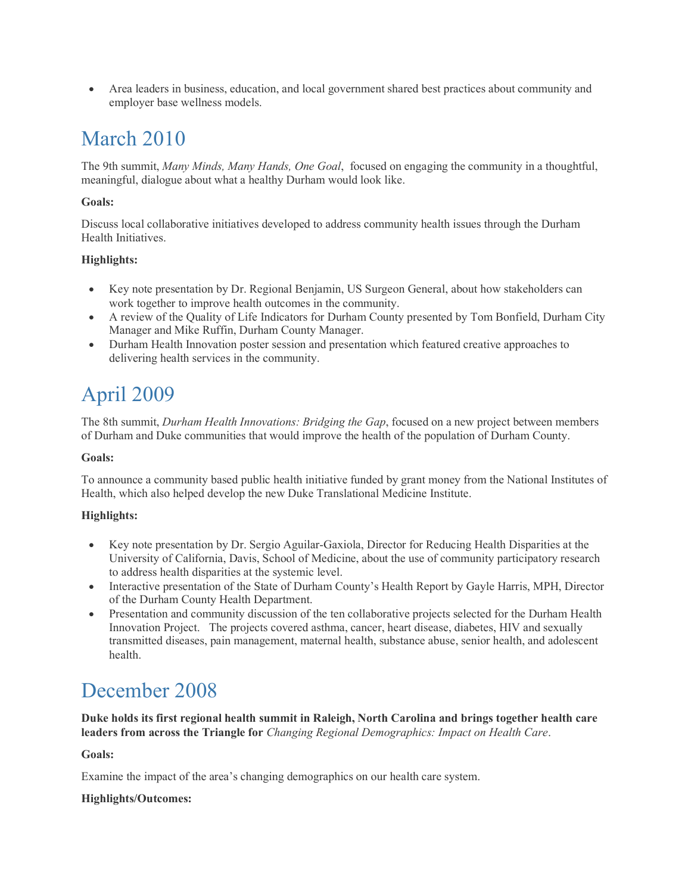• Area leaders in business, education, and local government shared best practices about community and employer base wellness models.

### March 2010

The 9th summit, *Many Minds, Many Hands, One Goal*, focused on engaging the community in a thoughtful, meaningful, dialogue about what a healthy Durham would look like.

#### **Goals:**

Discuss local collaborative initiatives developed to address community health issues through the Durham Health Initiatives.

#### **Highlights:**

- Key note presentation by Dr. Regional Benjamin, US Surgeon General, about how stakeholders can work together to improve health outcomes in the community.
- A review of the Quality of Life Indicators for Durham County presented by Tom Bonfield, Durham City Manager and Mike Ruffin, Durham County Manager.
- Durham Health Innovation poster session and presentation which featured creative approaches to delivering health services in the community.

## April 2009

The 8th summit, *Durham Health Innovations: Bridging the Gap*, focused on a new project between members of Durham and Duke communities that would improve the health of the population of Durham County.

#### **Goals:**

To announce a community based public health initiative funded by grant money from the National Institutes of Health, which also helped develop the new Duke Translational Medicine Institute.

#### **Highlights:**

- Key note presentation by Dr. Sergio Aguilar-Gaxiola, Director for Reducing Health Disparities at the University of California, Davis, School of Medicine, about the use of community participatory research to address health disparities at the systemic level.
- Interactive presentation of the State of Durham County's Health Report by Gayle Harris, MPH, Director of the Durham County Health Department.
- Presentation and community discussion of the ten collaborative projects selected for the Durham Health Innovation Project. The projects covered asthma, cancer, heart disease, diabetes, HIV and sexually transmitted diseases, pain management, maternal health, substance abuse, senior health, and adolescent health.

### December 2008

**Duke holds its first regional health summit in Raleigh, North Carolina and brings together health care leaders from across the Triangle for** *Changing Regional Demographics: Impact on Health Care*.

**Goals:**

Examine the impact of the area's changing demographics on our health care system.

#### **Highlights/Outcomes:**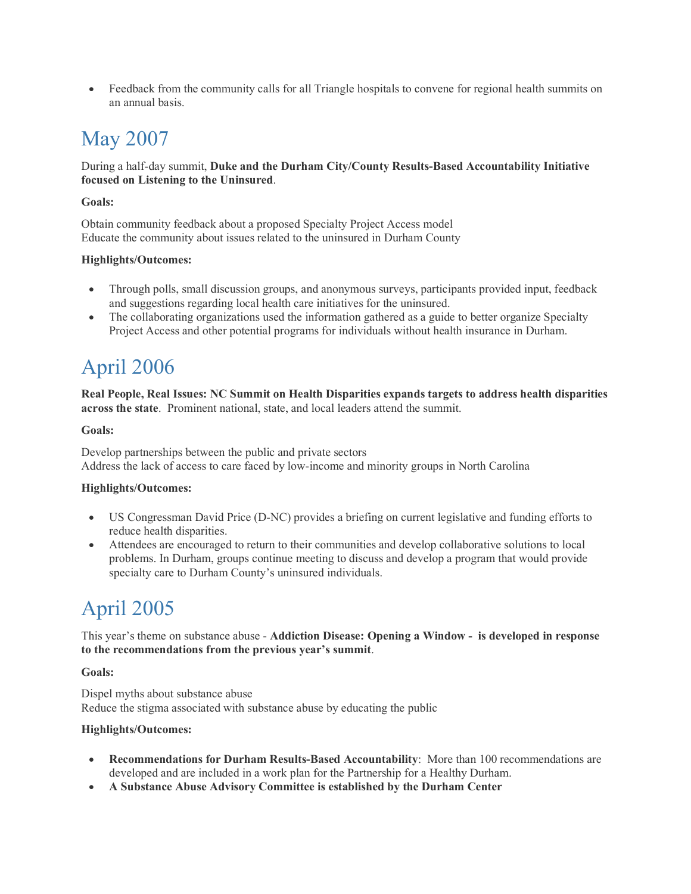• Feedback from the community calls for all Triangle hospitals to convene for regional health summits on an annual basis.

## May 2007

#### During a half-day summit, **Duke and the Durham City/County Results-Based Accountability Initiative focused on Listening to the Uninsured**.

#### **Goals:**

Obtain community feedback about a proposed Specialty Project Access model Educate the community about issues related to the uninsured in Durham County

#### **Highlights/Outcomes:**

- Through polls, small discussion groups, and anonymous surveys, participants provided input, feedback and suggestions regarding local health care initiatives for the uninsured.
- The collaborating organizations used the information gathered as a guide to better organize Specialty Project Access and other potential programs for individuals without health insurance in Durham.

# April 2006

**Real People, Real Issues: NC Summit on Health Disparities expands targets to address health disparities across the state**. Prominent national, state, and local leaders attend the summit.

#### **Goals:**

Develop partnerships between the public and private sectors Address the lack of access to care faced by low-income and minority groups in North Carolina

#### **Highlights/Outcomes:**

- US Congressman David Price (D-NC) provides a briefing on current legislative and funding efforts to reduce health disparities.
- Attendees are encouraged to return to their communities and develop collaborative solutions to local problems. In Durham, groups continue meeting to discuss and develop a program that would provide specialty care to Durham County's uninsured individuals.

# April 2005

This year's theme on substance abuse - **Addiction Disease: Opening a Window - is developed in response to the recommendations from the previous year's summit**.

#### **Goals:**

Dispel myths about substance abuse Reduce the stigma associated with substance abuse by educating the public

#### **Highlights/Outcomes:**

- **Recommendations for Durham Results-Based Accountability**: More than 100 recommendations are developed and are included in a work plan for the Partnership for a Healthy Durham.
- **A Substance Abuse Advisory Committee is established by the Durham Center**